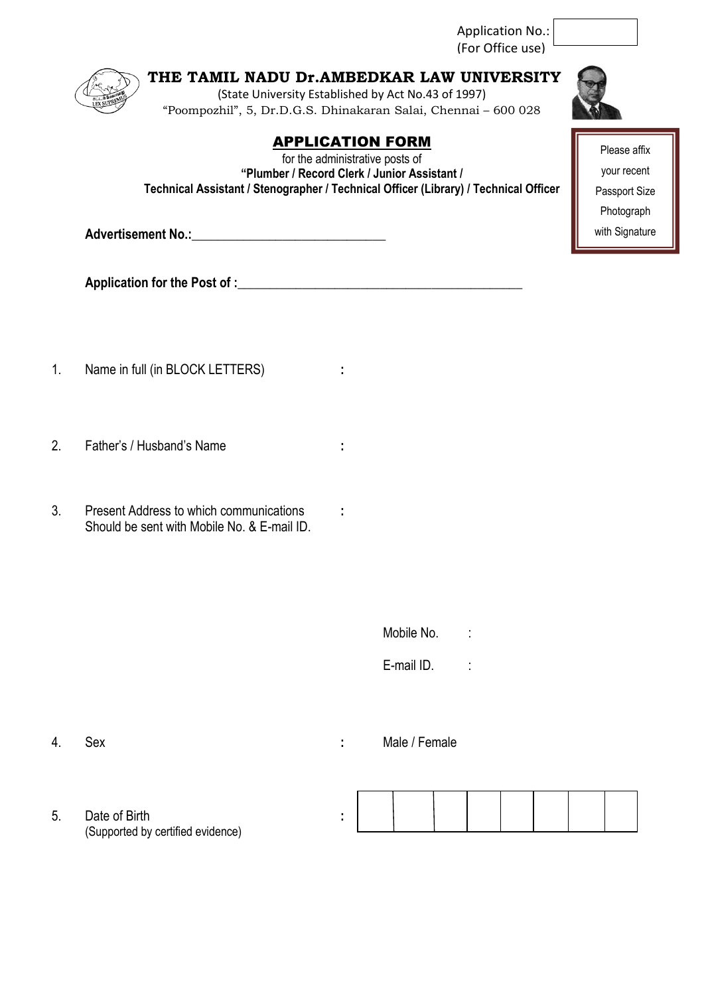Application No.: (For Office use)

**THE TAMIL NADU Dr.AMBEDKAR LAW UNIVERSITY** (State University Established by Act No.43 of 1997) "Poompozhil", 5, Dr.D.G.S. Dhinakaran Salai, Chennai – 600 028

## APPLICATION FORM

for the administrative posts of **"Plumber / Record Clerk / Junior Assistant / Technical Assistant / Stenographer / Technical Officer (Library) / Technical Officer**

Advertisement No.:

Application for the Post of :

- 1. Name in full (in BLOCK LETTERS) **:**
- 2. Father's / Husband's Name **:**
- 3. Present Address to which communications **:** Should be sent with Mobile No. & E-mail ID.
- Mobile No. : E-mail ID. :

4. Sex **:** Male / Female

5. Date of Birth **:** (Supported by certified evidence)



Please affix your recent Passport Size Photograph with Signature

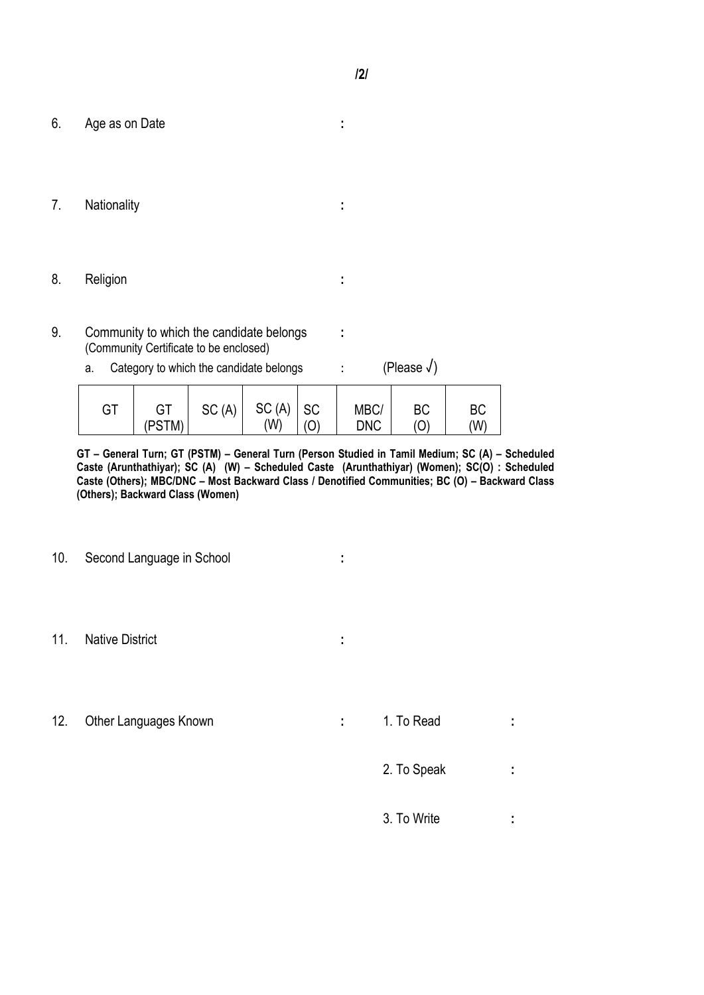- 6. Age as on Date **:**
- 7. Nationality **:**
- 8. Religion **:**
- 9. Community to which the candidate belongs **:** (Community Certificate to be enclosed)
	- a. Category to which the candidate belongs : (Please  $\sqrt{}$ )

| GT | GT     | SC(A) | $SC(A)$ SC |     | MBC/       | <b>BC</b> | <b>BC</b> |
|----|--------|-------|------------|-----|------------|-----------|-----------|
|    | (PSTM) |       | (W)        | (0) | <b>DNC</b> | ◡         | (W)       |

**GT – General Turn; GT (PSTM) – General Turn (Person Studied in Tamil Medium; SC (A) – Scheduled Caste (Arunthathiyar); SC (A) (W) – Scheduled Caste (Arunthathiyar) (Women); SC(O) : Scheduled Caste (Others); MBC/DNC – Most Backward Class / Denotified Communities; BC (O) – Backward Class (Others); Backward Class (Women)** 

- 10. Second Language in School **:**
- 11. Native District **:**
- 12. Other Languages Known **:** 1. To Read **:** 1.

- 2. To Speak **:**
- 3. To Write **:**
- 
- 
- 
- 
- 
- 
- 
- 
- 
- 
- -

- 
-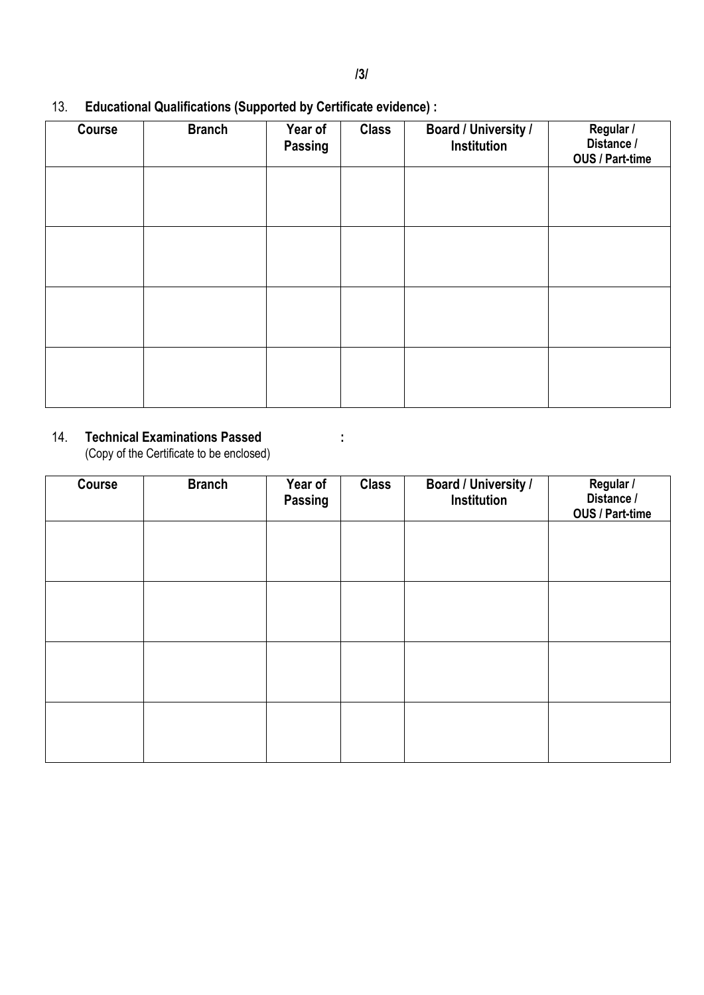# **Course Branch Year of Passing Class Board / University / Institution Regular / Distance / OUS / Part-time**

## 13. **Educational Qualifications (Supported by Certificate evidence) :**

#### 14. **Technical Examinations Passed :**

(Copy of the Certificate to be enclosed)

| Course | <b>Branch</b> | Year of<br><b>Passing</b> | <b>Class</b> | <b>Board / University /</b><br>Institution | Regular /<br>Distance /<br>OUS / Part-time |
|--------|---------------|---------------------------|--------------|--------------------------------------------|--------------------------------------------|
|        |               |                           |              |                                            |                                            |
|        |               |                           |              |                                            |                                            |
|        |               |                           |              |                                            |                                            |
|        |               |                           |              |                                            |                                            |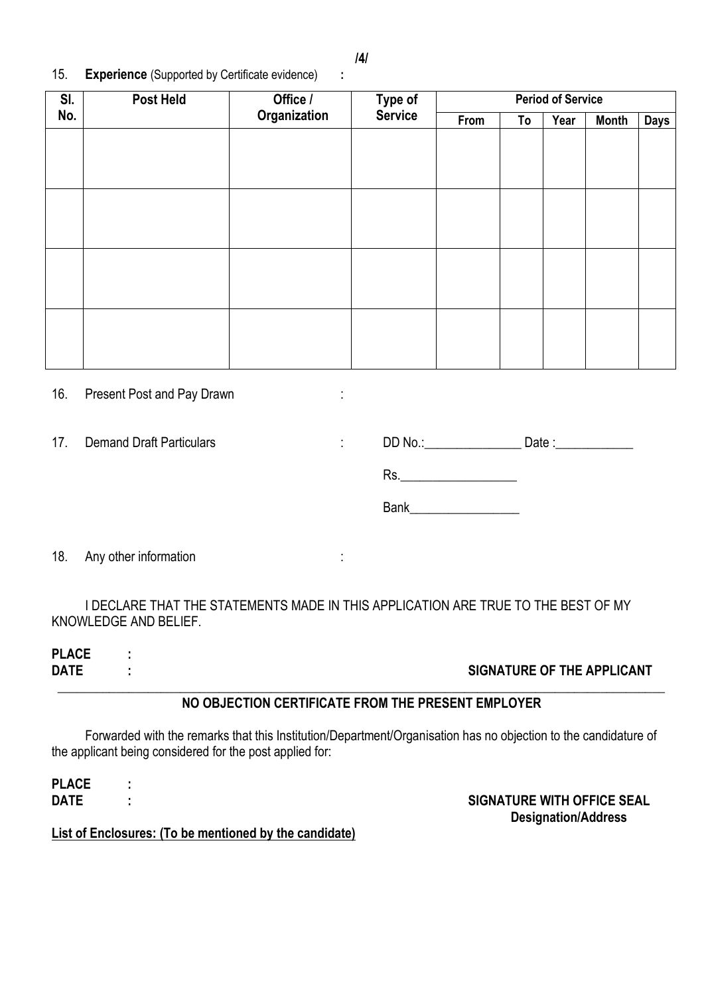15. **Experience** (Supported by Certificate evidence) **:**

| SI. | <b>Post Held</b> | Office /     | Type of        | <b>Period of Service</b> |    |      |              |             |
|-----|------------------|--------------|----------------|--------------------------|----|------|--------------|-------------|
| No. |                  | Organization | <b>Service</b> | From                     | To | Year | <b>Month</b> | <b>Days</b> |
|     |                  |              |                |                          |    |      |              |             |
|     |                  |              |                |                          |    |      |              |             |
|     |                  |              |                |                          |    |      |              |             |
|     |                  |              |                |                          |    |      |              |             |
|     |                  |              |                |                          |    |      |              |             |
|     |                  |              |                |                          |    |      |              |             |
|     |                  |              |                |                          |    |      |              |             |
|     |                  |              |                |                          |    |      |              |             |
|     |                  |              |                |                          |    |      |              |             |
|     |                  |              |                |                          |    |      |              |             |
|     |                  |              |                |                          |    |      |              |             |
|     |                  |              |                |                          |    |      |              |             |

16. Present Post and Pay Drawn :

17. Demand Draft Particulars in the Second No.:

| DD No.: | Date : |
|---------|--------|
| Rs.     |        |

Bank\_\_\_\_\_\_\_\_\_\_\_\_\_\_\_\_\_

18. Any other information is a set of the state of the state of the state of the state of the state of the state of the state of the state of the state of the state of the state of the state of the state of the state of th

I DECLARE THAT THE STATEMENTS MADE IN THIS APPLICATION ARE TRUE TO THE BEST OF MY KNOWLEDGE AND BELIEF.

**PLACE :**

#### **DATE : SIGNATURE OF THE APPLICANT**

#### **\_\_\_\_\_\_\_\_\_\_\_\_\_\_\_\_\_\_\_\_\_\_\_\_\_\_\_\_\_\_\_\_\_\_\_\_\_\_\_\_\_\_\_\_\_\_\_\_\_\_\_\_\_\_\_\_\_\_\_\_\_\_\_\_\_\_\_\_\_\_\_\_\_\_\_\_\_\_\_\_\_\_\_\_\_\_\_\_\_\_\_\_\_\_ NO OBJECTION CERTIFICATE FROM THE PRESENT EMPLOYER**

Forwarded with the remarks that this Institution/Department/Organisation has no objection to the candidature of the applicant being considered for the post applied for:

**PLACE :**

**DATE : SIGNATURE WITH OFFICE SEAL Designation/Address**

**List of Enclosures: (To be mentioned by the candidate)**